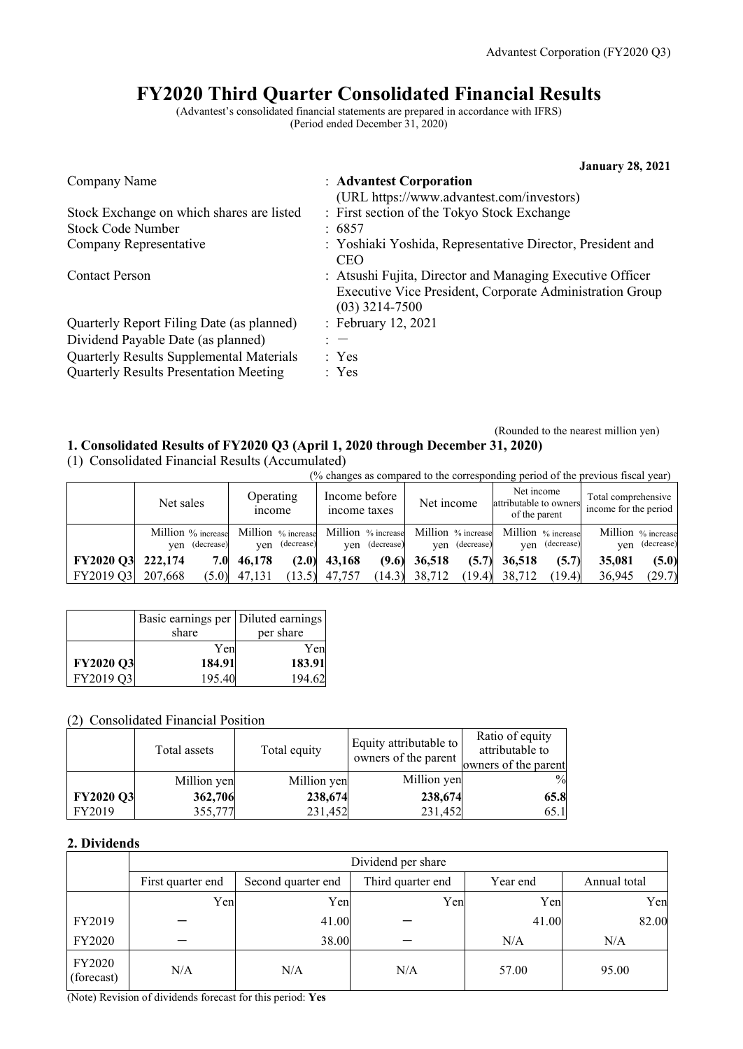# **FY2020 Third Quarter Consolidated Financial Results**

(Advantest's consolidated financial statements are prepared in accordance with IFRS) (Period ended December 31, 2020)

|                                               | <b>January 28, 2021</b>                                                                                                                   |
|-----------------------------------------------|-------------------------------------------------------------------------------------------------------------------------------------------|
| Company Name                                  | : Advantest Corporation                                                                                                                   |
|                                               | (URL https://www.advantest.com/investors)                                                                                                 |
| Stock Exchange on which shares are listed     | : First section of the Tokyo Stock Exchange                                                                                               |
| <b>Stock Code Number</b>                      | :6857                                                                                                                                     |
| Company Representative                        | : Yoshiaki Yoshida, Representative Director, President and<br><b>CEO</b>                                                                  |
| <b>Contact Person</b>                         | : Atsushi Fujita, Director and Managing Executive Officer<br>Executive Vice President, Corporate Administration Group<br>$(03)$ 3214-7500 |
| Quarterly Report Filing Date (as planned)     | : February 12, 2021                                                                                                                       |
| Dividend Payable Date (as planned)            | $: -$                                                                                                                                     |
| Quarterly Results Supplemental Materials      | : Yes                                                                                                                                     |
| <b>Quarterly Results Presentation Meeting</b> | : Yes                                                                                                                                     |

#### (Rounded to the nearest million yen) **1. Consolidated Results of FY2020 Q3 (April 1, 2020 through December 31, 2020)**

(1) Consolidated Financial Results (Accumulated)

|                   | (% changes as compared to the corresponding period of the previous fiscal year) |                            |                                                                            |                 |                                                       |                                              |  |
|-------------------|---------------------------------------------------------------------------------|----------------------------|----------------------------------------------------------------------------|-----------------|-------------------------------------------------------|----------------------------------------------|--|
|                   | Net sales                                                                       | Operating<br><i>n</i> come | Income before<br>income taxes                                              | Net income      | Net income<br>attributable to owners<br>of the parent | Total comprehensive<br>income for the period |  |
|                   | Million % increase<br>yen (decrease)                                            | yen (decrease)             | Million % increase Million % increase Million % increase<br>ven (decrease) | ven (decrease)  | Million % increase<br>(decrease)<br>ven               | Million % increase<br>(decrease)<br>ven      |  |
| FY2020 Q3 222,174 | 7.OI                                                                            | 46,178<br>(2.0)            | 43,168<br>(9.6)                                                            | 36,518<br>(5.7) | 36,518<br>(5.7)                                       | (5.0)<br>35,081                              |  |
| FY2019 Q3         | 207,668<br>(5.0)                                                                | 47,131                     | $(13.5)$ 47,757<br>(14.3)                                                  | 38,712          | $(19.4)$ 38,712<br>(19.4)                             | (29.7)<br>36,945                             |  |

|           | Basic earnings per   Diluted earnings |           |
|-----------|---------------------------------------|-----------|
|           | share                                 | per share |
|           | Yen                                   | Yen       |
| FY2020 Q3 | 184.91                                | 183.91    |
| FY2019 Q3 | 195.40                                | 194.62    |

## (2) Consolidated Financial Position

|                  | Total assets | Total equity | Equity attributable to<br>owners of the parent | Ratio of equity<br>attributable to<br>owners of the parent |
|------------------|--------------|--------------|------------------------------------------------|------------------------------------------------------------|
|                  | Million yen  | Million yen  | Million yen                                    | $\frac{0}{0}$                                              |
| <b>FY2020 Q3</b> | 362,706      | 238,674      | 238,674                                        | 65.8                                                       |
| FY2019           | 355,777      | 231,452      | 231,452                                        | 65.1                                                       |

#### **2. Dividends**

|                      | Dividend per share |                    |                   |          |              |  |  |
|----------------------|--------------------|--------------------|-------------------|----------|--------------|--|--|
|                      | First quarter end  | Second quarter end | Third quarter end | Year end | Annual total |  |  |
|                      | Yen                | Yen                | Yen               | Yen      | Yen          |  |  |
| FY2019               |                    | 41.00              |                   | 41.00    | 82.00        |  |  |
| FY2020               |                    | 38.00              |                   | N/A      | N/A          |  |  |
| FY2020<br>(forecast) | N/A                | N/A                | N/A               | 57.00    | 95.00        |  |  |

(Note) Revision of dividends forecast for this period: **Yes**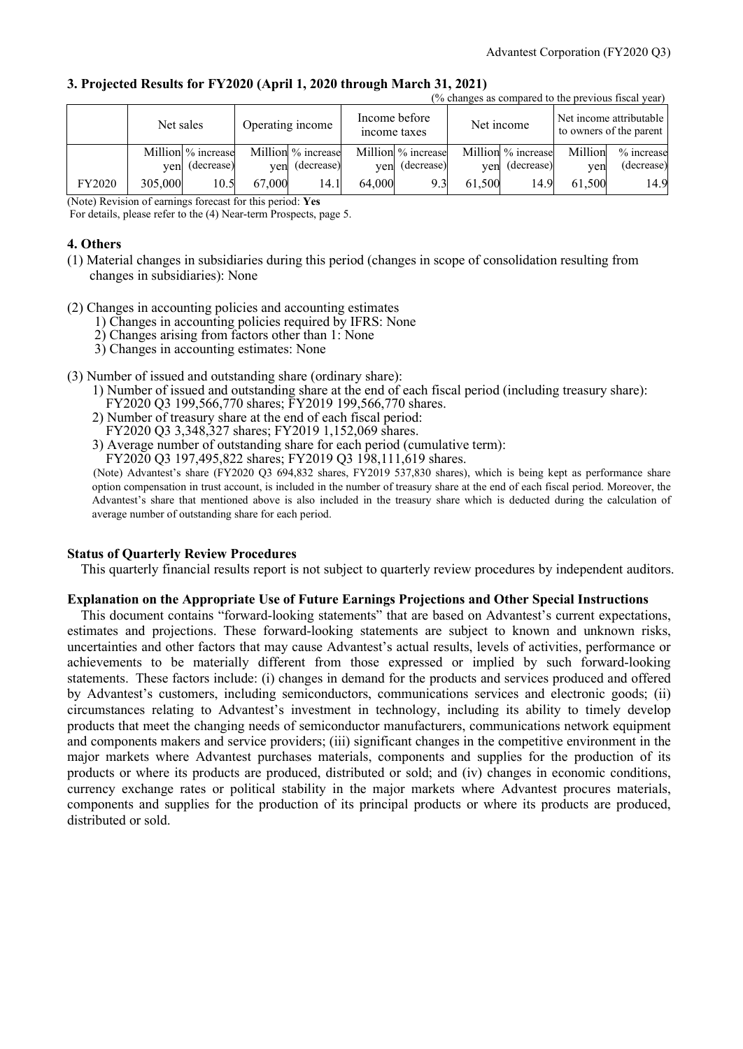| 3. Projected Results for FY2020 (April 1, 2020 through March 31, 2021) |                                                     |
|------------------------------------------------------------------------|-----------------------------------------------------|
|                                                                        | (0/ changes as command to the merricus fiscal veas) |

|        | 70 Changes as compared to the previous fiscal vear. |                    |                  |                    |                               |                    |        |                    |         |                                                    |
|--------|-----------------------------------------------------|--------------------|------------------|--------------------|-------------------------------|--------------------|--------|--------------------|---------|----------------------------------------------------|
|        | Net sales                                           |                    | Operating income |                    | Income before<br>income taxes |                    |        | Net income         |         | Net income attributable<br>to owners of the parent |
|        |                                                     | Million % increase |                  | Million % increase |                               | Million % increase |        | Million % increase | Million | % increase                                         |
|        |                                                     | yen (decrease)     | ven              | (decrease)         | ven                           | (decrease)         |        | yen (decrease)     | ven     | (decrease)                                         |
| FY2020 | 305,000                                             | 10.5               | 67,000           | 14.1               | 64,000                        | 9.3                | 61.500 | 14.9               | 61,500  | 14.9                                               |

(Note) Revision of earnings forecast for this period: **Yes**

For details, please refer to the (4) Near-term Prospects, page 5.

#### **4. Others**

- (1) Material changes in subsidiaries during this period (changes in scope of consolidation resulting from changes in subsidiaries): None
- (2) Changes in accounting policies and accounting estimates
	- 1) Changes in accounting policies required by IFRS: None
	- 2) Changes arising from factors other than 1: None
	- 3) Changes in accounting estimates: None
- (3) Number of issued and outstanding share (ordinary share):
	- 1) Number of issued and outstanding share at the end of each fiscal period (including treasury share): FY2020 Q3 199,566,770 shares; FY2019 199,566,770 shares.
	- 2) Number of treasury share at the end of each fiscal period: FY2020 Q3 3,348,327 shares; FY2019 1,152,069 shares.
	- 3) Average number of outstanding share for each period (cumulative term):
	- FY2020 Q3 197,495,822 shares; FY2019 Q3 198,111,619 shares.

(Note) Advantest's share (FY2020 Q3 694,832 shares, FY2019 537,830 shares), which is being kept as performance share option compensation in trust account, is included in the number of treasury share at the end of each fiscal period. Moreover, the Advantest's share that mentioned above is also included in the treasury share which is deducted during the calculation of average number of outstanding share for each period.

#### **Status of Quarterly Review Procedures**

This quarterly financial results report is not subject to quarterly review procedures by independent auditors.

#### **Explanation on the Appropriate Use of Future Earnings Projections and Other Special Instructions**

This document contains "forward-looking statements" that are based on Advantest's current expectations, estimates and projections. These forward-looking statements are subject to known and unknown risks, uncertainties and other factors that may cause Advantest's actual results, levels of activities, performance or achievements to be materially different from those expressed or implied by such forward-looking statements. These factors include: (i) changes in demand for the products and services produced and offered by Advantest's customers, including semiconductors, communications services and electronic goods; (ii) circumstances relating to Advantest's investment in technology, including its ability to timely develop products that meet the changing needs of semiconductor manufacturers, communications network equipment and components makers and service providers; (iii) significant changes in the competitive environment in the major markets where Advantest purchases materials, components and supplies for the production of its products or where its products are produced, distributed or sold; and (iv) changes in economic conditions, currency exchange rates or political stability in the major markets where Advantest procures materials, components and supplies for the production of its principal products or where its products are produced, distributed or sold.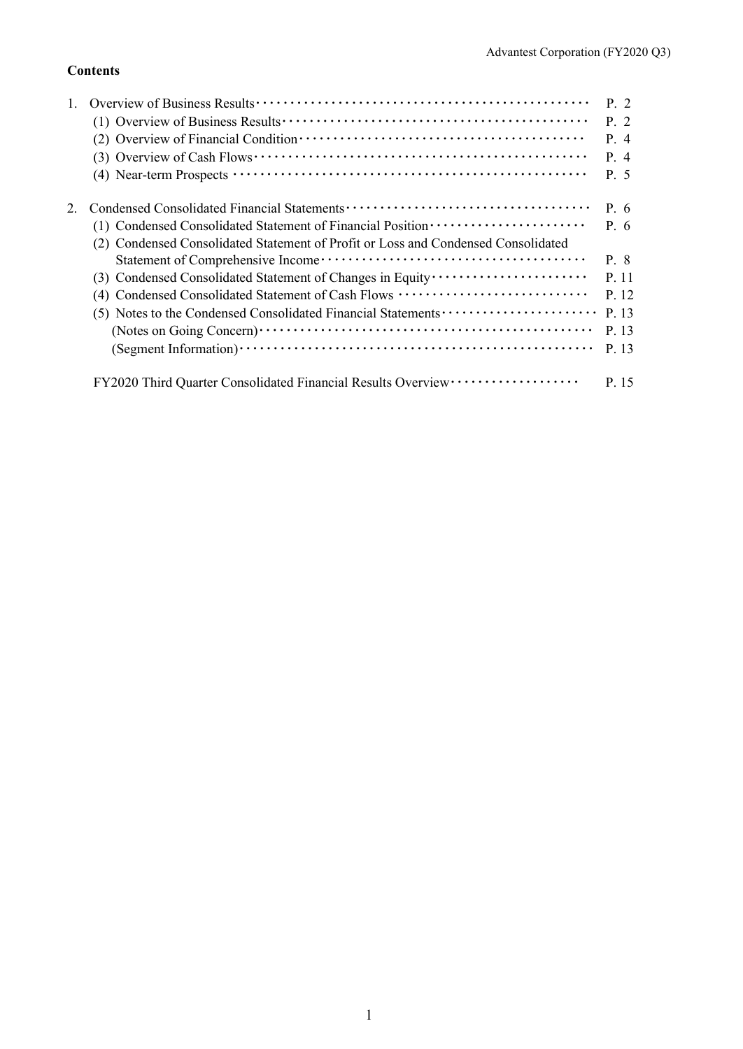## **Contents**

|                                                                                                               | $P_{\cdot}$ 2 |
|---------------------------------------------------------------------------------------------------------------|---------------|
|                                                                                                               | P.2           |
|                                                                                                               | P. 4          |
| $(3)$ Overview of Cash Flows $\cdots$ $\cdots$ $\cdots$ $\cdots$ $\cdots$ $\cdots$ $\cdots$ $\cdots$ $\cdots$ | P.4           |
|                                                                                                               | P. 5          |
|                                                                                                               | P. 6          |
| (1) Condensed Consolidated Statement of Financial Position ·····················                              | P. 6          |
| (2) Condensed Consolidated Statement of Profit or Loss and Condensed Consolidated                             |               |
|                                                                                                               | P. 8          |
|                                                                                                               | P. 11         |
| (4) Condensed Consolidated Statement of Cash Flows                                                            | P. 12         |
|                                                                                                               | P. 13         |
|                                                                                                               | P. 13         |
|                                                                                                               | P. 13         |
|                                                                                                               | P. 15         |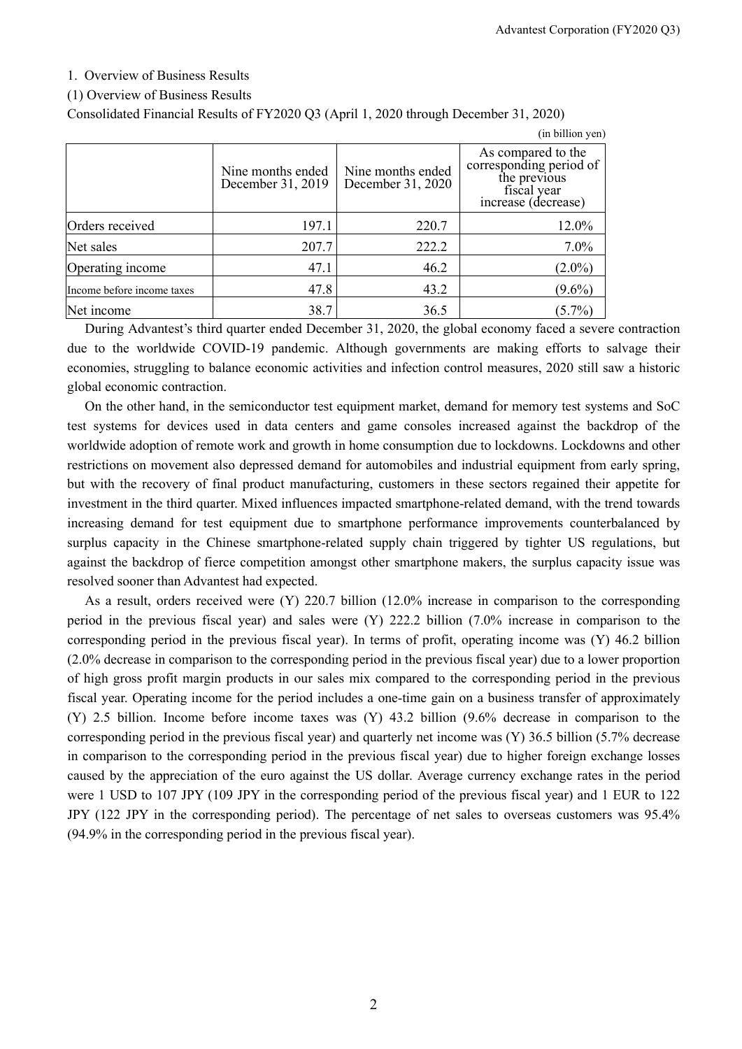#### 1. Overview of Business Results

#### (1) Overview of Business Results

Consolidated Financial Results of FY2020 Q3 (April 1, 2020 through December 31, 2020)

|                            |                                        |                                        | (in billion yen)                                                                                    |
|----------------------------|----------------------------------------|----------------------------------------|-----------------------------------------------------------------------------------------------------|
|                            | Nine months ended<br>December 31, 2019 | Nine months ended<br>December 31, 2020 | As compared to the<br>corresponding period of<br>the previous<br>fiscal year<br>increase (decrease) |
| Orders received            | 197.1                                  | 220.7                                  | 12.0%                                                                                               |
| Net sales                  | 207.7                                  | 222.2                                  | $7.0\%$                                                                                             |
| Operating income           | 47.1                                   | 46.2                                   | $(2.0\%)$                                                                                           |
| Income before income taxes | 47.8                                   | 43.2                                   | $(9.6\%)$                                                                                           |
| Net income                 | 38.7                                   | 36.5                                   | $(5.7\%)$                                                                                           |

During Advantest's third quarter ended December 31, 2020, the global economy faced a severe contraction due to the worldwide COVID-19 pandemic. Although governments are making efforts to salvage their economies, struggling to balance economic activities and infection control measures, 2020 still saw a historic global economic contraction.

On the other hand, in the semiconductor test equipment market, demand for memory test systems and SoC test systems for devices used in data centers and game consoles increased against the backdrop of the worldwide adoption of remote work and growth in home consumption due to lockdowns. Lockdowns and other restrictions on movement also depressed demand for automobiles and industrial equipment from early spring, but with the recovery of final product manufacturing, customers in these sectors regained their appetite for investment in the third quarter. Mixed influences impacted smartphone-related demand, with the trend towards increasing demand for test equipment due to smartphone performance improvements counterbalanced by surplus capacity in the Chinese smartphone-related supply chain triggered by tighter US regulations, but against the backdrop of fierce competition amongst other smartphone makers, the surplus capacity issue was resolved sooner than Advantest had expected.

As a result, orders received were (Y) 220.7 billion (12.0% increase in comparison to the corresponding period in the previous fiscal year) and sales were (Y) 222.2 billion (7.0% increase in comparison to the corresponding period in the previous fiscal year). In terms of profit, operating income was (Y) 46.2 billion (2.0% decrease in comparison to the corresponding period in the previous fiscal year) due to a lower proportion of high gross profit margin products in our sales mix compared to the corresponding period in the previous fiscal year. Operating income for the period includes a one-time gain on a business transfer of approximately (Y) 2.5 billion. Income before income taxes was (Y) 43.2 billion (9.6% decrease in comparison to the corresponding period in the previous fiscal year) and quarterly net income was (Y) 36.5 billion (5.7% decrease in comparison to the corresponding period in the previous fiscal year) due to higher foreign exchange losses caused by the appreciation of the euro against the US dollar. Average currency exchange rates in the period were 1 USD to 107 JPY (109 JPY in the corresponding period of the previous fiscal year) and 1 EUR to 122 JPY (122 JPY in the corresponding period). The percentage of net sales to overseas customers was 95.4% (94.9% in the corresponding period in the previous fiscal year).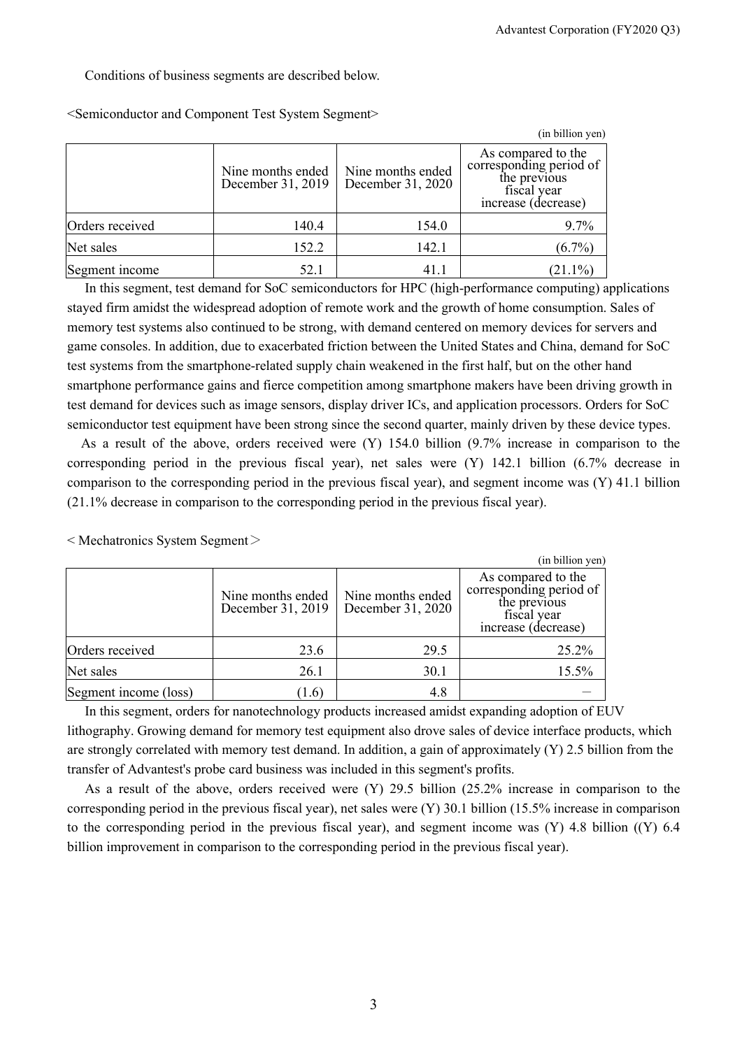#### Conditions of business segments are described below.

|                 |                                        |                                        | (in billion yen)                                                                                    |
|-----------------|----------------------------------------|----------------------------------------|-----------------------------------------------------------------------------------------------------|
|                 | Nine months ended<br>December 31, 2019 | Nine months ended<br>December 31, 2020 | As compared to the<br>corresponding period of<br>the previous<br>fiscal year<br>increase (decrease) |
| Orders received | 140.4                                  | 154.0                                  | 9.7%                                                                                                |
| Net sales       | 152.2                                  | 142.1                                  | $(6.7\%)$                                                                                           |
| Segment income  | 52.1                                   | 41.1                                   | $(21.1\%)$                                                                                          |

<Semiconductor and Component Test System Segment>

In this segment, test demand for SoC semiconductors for HPC (high-performance computing) applications stayed firm amidst the widespread adoption of remote work and the growth of home consumption. Sales of memory test systems also continued to be strong, with demand centered on memory devices for servers and game consoles. In addition, due to exacerbated friction between the United States and China, demand for SoC test systems from the smartphone-related supply chain weakened in the first half, but on the other hand smartphone performance gains and fierce competition among smartphone makers have been driving growth in test demand for devices such as image sensors, display driver ICs, and application processors. Orders for SoC semiconductor test equipment have been strong since the second quarter, mainly driven by these device types.

As a result of the above, orders received were (Y) 154.0 billion (9.7% increase in comparison to the corresponding period in the previous fiscal year), net sales were (Y) 142.1 billion (6.7% decrease in comparison to the corresponding period in the previous fiscal year), and segment income was (Y) 41.1 billion (21.1% decrease in comparison to the corresponding period in the previous fiscal year).

|                       |                                        |                                        | (in billion yen)                                                                                    |
|-----------------------|----------------------------------------|----------------------------------------|-----------------------------------------------------------------------------------------------------|
|                       | Nine months ended<br>December 31, 2019 | Nine months ended<br>December 31, 2020 | As compared to the<br>corresponding period of<br>the previous<br>fiscal year<br>increase (decrease) |
| Orders received       | 23.6                                   | 29.5                                   | 25.2%                                                                                               |
| Net sales             | 26.1                                   | 30.1                                   | 15.5%                                                                                               |
| Segment income (loss) | (1.6)                                  | 4.8                                    |                                                                                                     |

 $\leq$  Mechatronics System Segment $\geq$ 

In this segment, orders for nanotechnology products increased amidst expanding adoption of EUV lithography. Growing demand for memory test equipment also drove sales of device interface products, which are strongly correlated with memory test demand. In addition, a gain of approximately (Y) 2.5 billion from the transfer of Advantest's probe card business was included in this segment's profits.

As a result of the above, orders received were (Y) 29.5 billion (25.2% increase in comparison to the corresponding period in the previous fiscal year), net sales were (Y) 30.1 billion (15.5% increase in comparison to the corresponding period in the previous fiscal year), and segment income was  $(Y)$  4.8 billion  $((Y)$  6.4 billion improvement in comparison to the corresponding period in the previous fiscal year).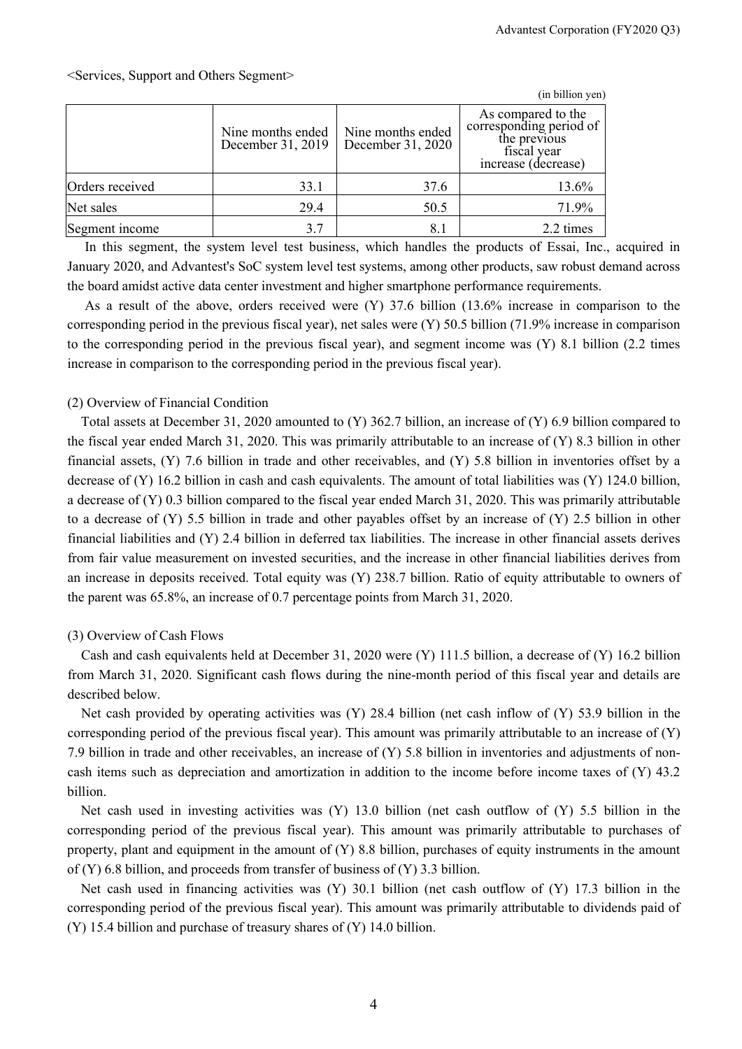|                 |                                        |                                        | (in billion yen)                                                                                    |
|-----------------|----------------------------------------|----------------------------------------|-----------------------------------------------------------------------------------------------------|
|                 | Nine months ended<br>December 31, 2019 | Nine months ended<br>December 31, 2020 | As compared to the<br>corresponding period of<br>the previous<br>fiscal year<br>increase (decrease) |
| Orders received | 33.1                                   | 37.6                                   | 13.6%                                                                                               |
| Net sales       | 29.4                                   | 50.5                                   | 71.9%                                                                                               |
| Segment income  | 3.7                                    |                                        | 2.2 times                                                                                           |

In this segment, the system level test business, which handles the products of Essai, Inc., acquired in January 2020, and Advantest's SoC system level test systems, among other products, saw robust demand across the board amidst active data center investment and higher smartphone performance requirements.

As a result of the above, orders received were (Y) 37.6 billion (13.6% increase in comparison to the corresponding period in the previous fiscal year), net sales were (Y) 50.5 billion (71.9% increase in comparison to the corresponding period in the previous fiscal year), and segment income was (Y) 8.1 billion (2.2 times increase in comparison to the corresponding period in the previous fiscal year).

#### (2) Overview of Financial Condition

Total assets at December 31, 2020 amounted to (Y) 362.7 billion, an increase of (Y) 6.9 billion compared to the fiscal year ended March 31, 2020. This was primarily attributable to an increase of (Y) 8.3 billion in other financial assets, (Y) 7.6 billion in trade and other receivables, and (Y) 5.8 billion in inventories offset by a decrease of (Y) 16.2 billion in cash and cash equivalents. The amount of total liabilities was (Y) 124.0 billion, a decrease of (Y) 0.3 billion compared to the fiscal year ended March 31, 2020. This was primarily attributable to a decrease of (Y) 5.5 billion in trade and other payables offset by an increase of (Y) 2.5 billion in other financial liabilities and (Y) 2.4 billion in deferred tax liabilities. The increase in other financial assets derives from fair value measurement on invested securities, and the increase in other financial liabilities derives from an increase in deposits received. Total equity was (Y) 238.7 billion. Ratio of equity attributable to owners of the parent was 65.8%, an increase of 0.7 percentage points from March 31, 2020.

#### (3) Overview of Cash Flows

Cash and cash equivalents held at December 31, 2020 were (Y) 111.5 billion, a decrease of (Y) 16.2 billion from March 31, 2020. Significant cash flows during the nine-month period of this fiscal year and details are described below.

Net cash provided by operating activities was (Y) 28.4 billion (net cash inflow of (Y) 53.9 billion in the corresponding period of the previous fiscal year). This amount was primarily attributable to an increase of (Y) 7.9 billion in trade and other receivables, an increase of (Y) 5.8 billion in inventories and adjustments of noncash items such as depreciation and amortization in addition to the income before income taxes of (Y) 43.2 billion.

Net cash used in investing activities was (Y) 13.0 billion (net cash outflow of (Y) 5.5 billion in the corresponding period of the previous fiscal year). This amount was primarily attributable to purchases of property, plant and equipment in the amount of (Y) 8.8 billion, purchases of equity instruments in the amount of (Y) 6.8 billion, and proceeds from transfer of business of (Y) 3.3 billion.

Net cash used in financing activities was (Y) 30.1 billion (net cash outflow of (Y) 17.3 billion in the corresponding period of the previous fiscal year). This amount was primarily attributable to dividends paid of (Y) 15.4 billion and purchase of treasury shares of (Y) 14.0 billion.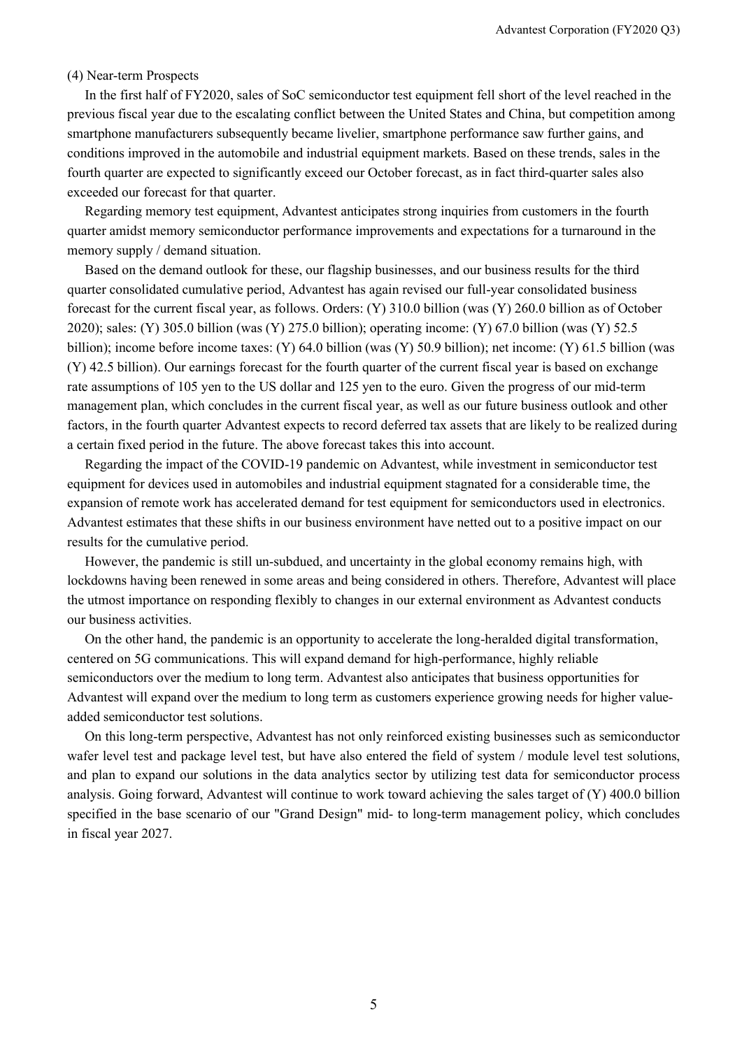#### (4) Near-term Prospects

In the first half of FY2020, sales of SoC semiconductor test equipment fell short of the level reached in the previous fiscal year due to the escalating conflict between the United States and China, but competition among smartphone manufacturers subsequently became livelier, smartphone performance saw further gains, and conditions improved in the automobile and industrial equipment markets. Based on these trends, sales in the fourth quarter are expected to significantly exceed our October forecast, as in fact third-quarter sales also exceeded our forecast for that quarter.

Regarding memory test equipment, Advantest anticipates strong inquiries from customers in the fourth quarter amidst memory semiconductor performance improvements and expectations for a turnaround in the memory supply / demand situation.

Based on the demand outlook for these, our flagship businesses, and our business results for the third quarter consolidated cumulative period, Advantest has again revised our full-year consolidated business forecast for the current fiscal year, as follows. Orders: (Y) 310.0 billion (was (Y) 260.0 billion as of October 2020); sales: (Y) 305.0 billion (was (Y) 275.0 billion); operating income: (Y) 67.0 billion (was (Y) 52.5 billion); income before income taxes: (Y) 64.0 billion (was (Y) 50.9 billion); net income: (Y) 61.5 billion (was (Y) 42.5 billion). Our earnings forecast for the fourth quarter of the current fiscal year is based on exchange rate assumptions of 105 yen to the US dollar and 125 yen to the euro. Given the progress of our mid-term management plan, which concludes in the current fiscal year, as well as our future business outlook and other factors, in the fourth quarter Advantest expects to record deferred tax assets that are likely to be realized during a certain fixed period in the future. The above forecast takes this into account.

Regarding the impact of the COVID-19 pandemic on Advantest, while investment in semiconductor test equipment for devices used in automobiles and industrial equipment stagnated for a considerable time, the expansion of remote work has accelerated demand for test equipment for semiconductors used in electronics. Advantest estimates that these shifts in our business environment have netted out to a positive impact on our results for the cumulative period.

However, the pandemic is still un-subdued, and uncertainty in the global economy remains high, with lockdowns having been renewed in some areas and being considered in others. Therefore, Advantest will place the utmost importance on responding flexibly to changes in our external environment as Advantest conducts our business activities.

On the other hand, the pandemic is an opportunity to accelerate the long-heralded digital transformation, centered on 5G communications. This will expand demand for high-performance, highly reliable semiconductors over the medium to long term. Advantest also anticipates that business opportunities for Advantest will expand over the medium to long term as customers experience growing needs for higher valueadded semiconductor test solutions.

On this long-term perspective, Advantest has not only reinforced existing businesses such as semiconductor wafer level test and package level test, but have also entered the field of system / module level test solutions, and plan to expand our solutions in the data analytics sector by utilizing test data for semiconductor process analysis. Going forward, Advantest will continue to work toward achieving the sales target of (Y) 400.0 billion specified in the base scenario of our "Grand Design" mid- to long-term management policy, which concludes in fiscal year 2027.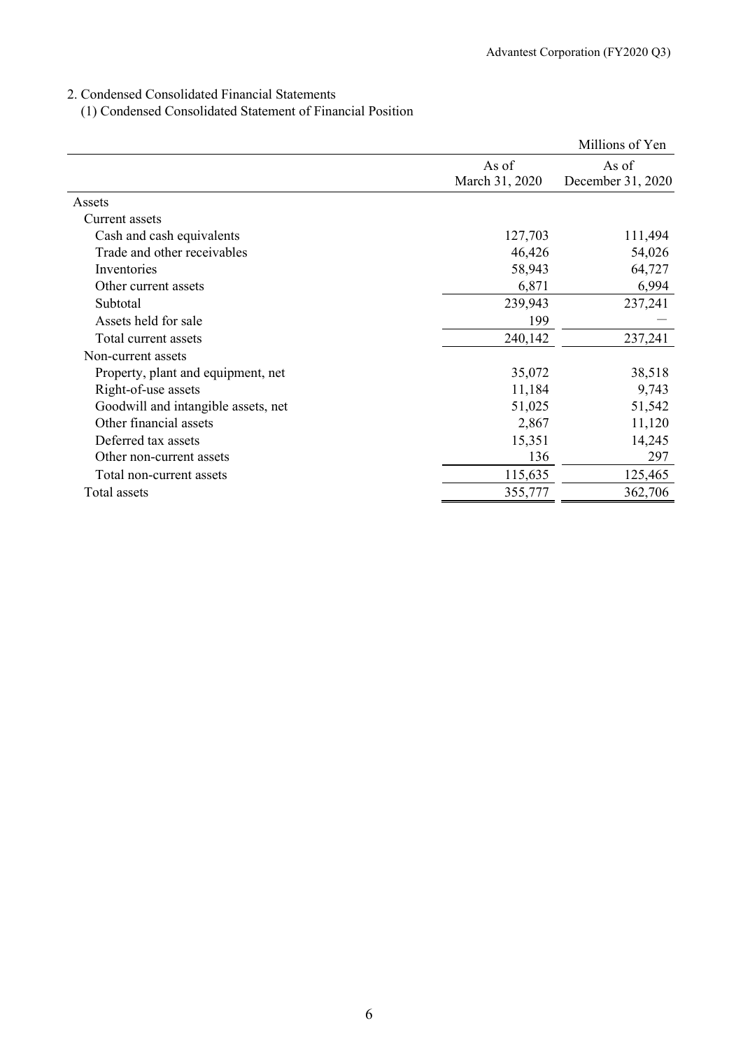## 2. Condensed Consolidated Financial Statements

(1) Condensed Consolidated Statement of Financial Position

|                                     |                | Millions of Yen   |
|-------------------------------------|----------------|-------------------|
|                                     | As of          | As of             |
|                                     | March 31, 2020 | December 31, 2020 |
| Assets                              |                |                   |
| Current assets                      |                |                   |
| Cash and cash equivalents           | 127,703        | 111,494           |
| Trade and other receivables         | 46,426         | 54,026            |
| Inventories                         | 58,943         | 64,727            |
| Other current assets                | 6,871          | 6,994             |
| Subtotal                            | 239,943        | 237,241           |
| Assets held for sale                | 199            |                   |
| Total current assets                | 240,142        | 237,241           |
| Non-current assets                  |                |                   |
| Property, plant and equipment, net  | 35,072         | 38,518            |
| Right-of-use assets                 | 11,184         | 9,743             |
| Goodwill and intangible assets, net | 51,025         | 51,542            |
| Other financial assets              | 2,867          | 11,120            |
| Deferred tax assets                 | 15,351         | 14,245            |
| Other non-current assets            | 136            | 297               |
| Total non-current assets            | 115,635        | 125,465           |
| Total assets                        | 355,777        | 362,706           |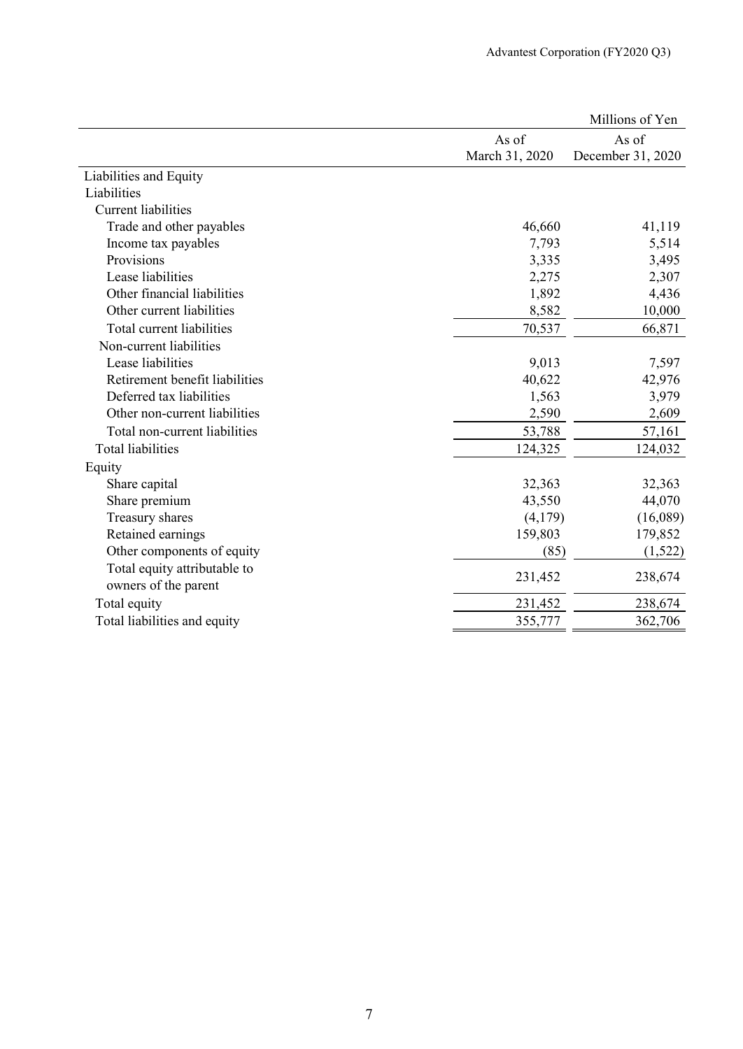|                                |                | Millions of Yen   |
|--------------------------------|----------------|-------------------|
|                                | As of          | As of             |
|                                | March 31, 2020 | December 31, 2020 |
| Liabilities and Equity         |                |                   |
| Liabilities                    |                |                   |
| <b>Current liabilities</b>     |                |                   |
| Trade and other payables       | 46,660         | 41,119            |
| Income tax payables            | 7,793          | 5,514             |
| Provisions                     | 3,335          | 3,495             |
| Lease liabilities              | 2,275          | 2,307             |
| Other financial liabilities    | 1,892          | 4,436             |
| Other current liabilities      | 8,582          | 10,000            |
| Total current liabilities      | 70,537         | 66,871            |
| Non-current liabilities        |                |                   |
| Lease liabilities              | 9,013          | 7,597             |
| Retirement benefit liabilities | 40,622         | 42,976            |
| Deferred tax liabilities       | 1,563          | 3,979             |
| Other non-current liabilities  | 2,590          | 2,609             |
| Total non-current liabilities  | 53,788         | 57,161            |
| <b>Total liabilities</b>       | 124,325        | 124,032           |
| Equity                         |                |                   |
| Share capital                  | 32,363         | 32,363            |
| Share premium                  | 43,550         | 44,070            |
| Treasury shares                | (4,179)        | (16,089)          |
| Retained earnings              | 159,803        | 179,852           |
| Other components of equity     | (85)           | (1,522)           |
| Total equity attributable to   |                |                   |
| owners of the parent           | 231,452        | 238,674           |
| Total equity                   | 231,452        | 238,674           |
| Total liabilities and equity   | 355,777        | 362,706           |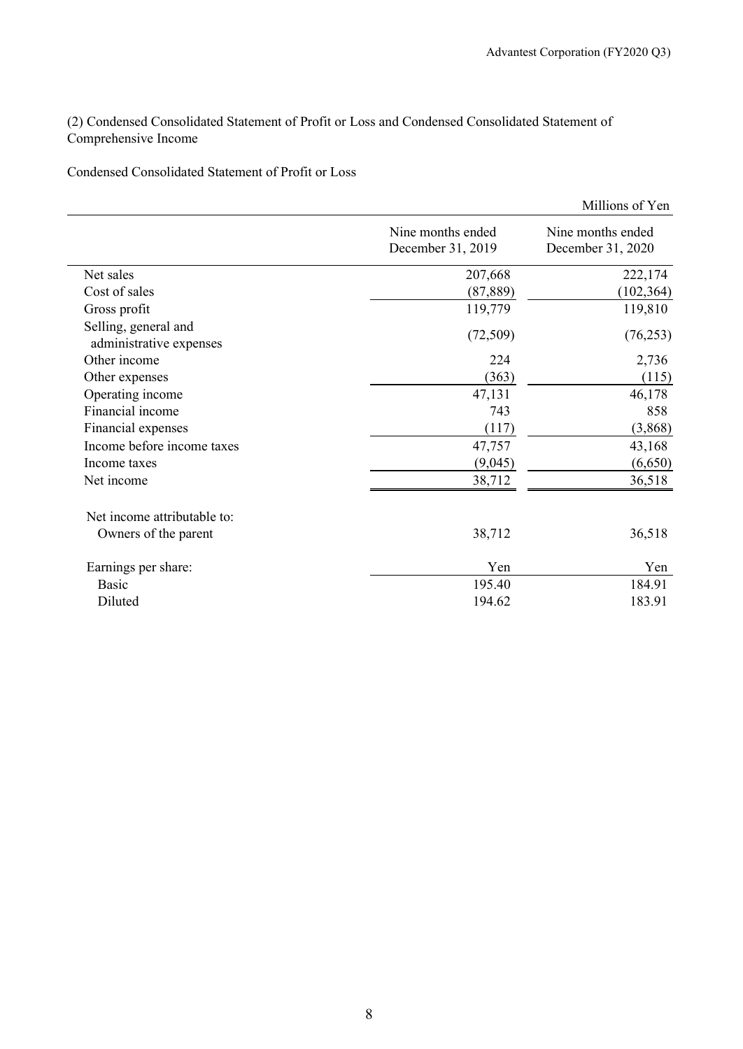(2) Condensed Consolidated Statement of Profit or Loss and Condensed Consolidated Statement of Comprehensive Income

Condensed Consolidated Statement of Profit or Loss

|                                                 |                                        | Millions of Yen                        |
|-------------------------------------------------|----------------------------------------|----------------------------------------|
|                                                 | Nine months ended<br>December 31, 2019 | Nine months ended<br>December 31, 2020 |
| Net sales                                       | 207,668                                | 222,174                                |
| Cost of sales                                   | (87,889)                               | (102, 364)                             |
| Gross profit                                    | 119,779                                | 119,810                                |
| Selling, general and<br>administrative expenses | (72, 509)                              | (76, 253)                              |
| Other income                                    | 224                                    | 2,736                                  |
| Other expenses                                  | (363)                                  | (115)                                  |
| Operating income                                | 47,131                                 | 46,178                                 |
| Financial income                                | 743                                    | 858                                    |
| Financial expenses                              | (117)                                  | (3,868)                                |
| Income before income taxes                      | 47,757                                 | 43,168                                 |
| Income taxes                                    | (9,045)                                | (6,650)                                |
| Net income                                      | 38,712                                 | 36,518                                 |
| Net income attributable to:                     |                                        |                                        |
| Owners of the parent                            | 38,712                                 | 36,518                                 |
| Earnings per share:                             | Yen                                    | Yen                                    |
| Basic                                           | 195.40                                 | 184.91                                 |
| Diluted                                         | 194.62                                 | 183.91                                 |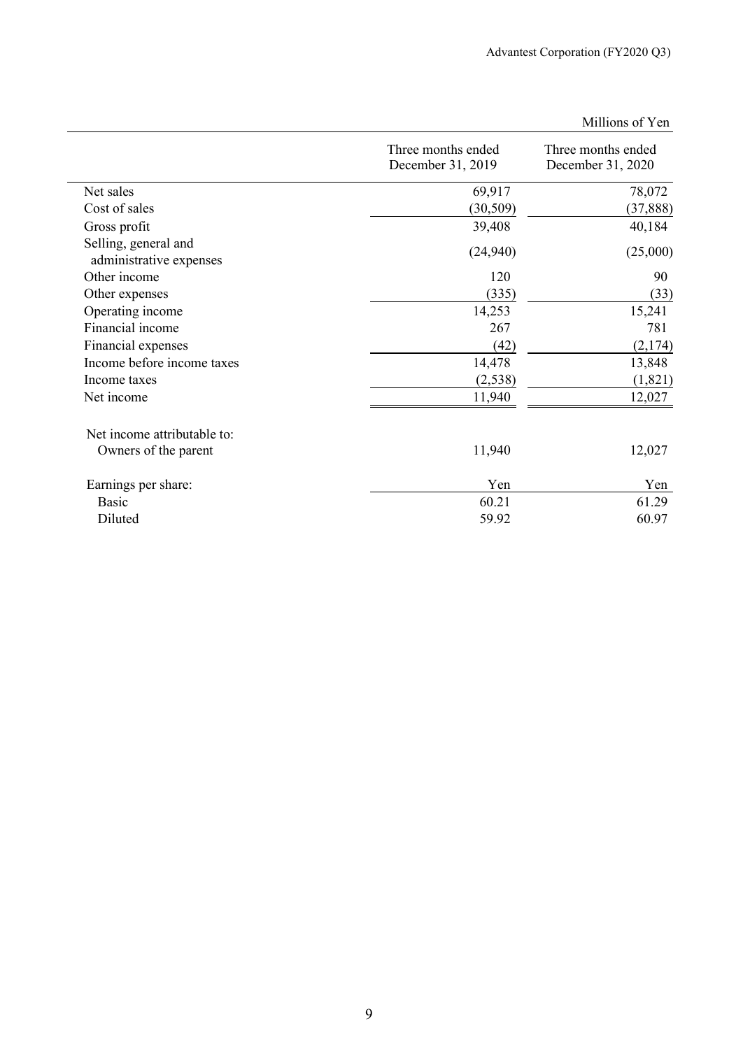|                                                 | Three months ended<br>December 31, 2019 | Three months ended<br>December 31, 2020 |
|-------------------------------------------------|-----------------------------------------|-----------------------------------------|
| Net sales                                       | 69,917                                  | 78,072                                  |
| Cost of sales                                   | (30, 509)                               | (37, 888)                               |
| Gross profit                                    | 39,408                                  | 40,184                                  |
| Selling, general and<br>administrative expenses | (24, 940)                               | (25,000)                                |
| Other income                                    | 120                                     | 90                                      |
| Other expenses                                  | (335)                                   | (33)                                    |
| Operating income                                | 14,253                                  | 15,241                                  |
| Financial income                                | 267                                     | 781                                     |
| Financial expenses                              | (42)                                    | (2,174)                                 |
| Income before income taxes                      | 14,478                                  | 13,848                                  |
| Income taxes                                    | (2,538)                                 | (1,821)                                 |
| Net income                                      | 11,940                                  | 12,027                                  |
| Net income attributable to:                     |                                         |                                         |
| Owners of the parent                            | 11,940                                  | 12,027                                  |
| Earnings per share:                             | Yen                                     | Yen                                     |
| Basic                                           | 60.21                                   | 61.29                                   |
| Diluted                                         | 59.92                                   | 60.97                                   |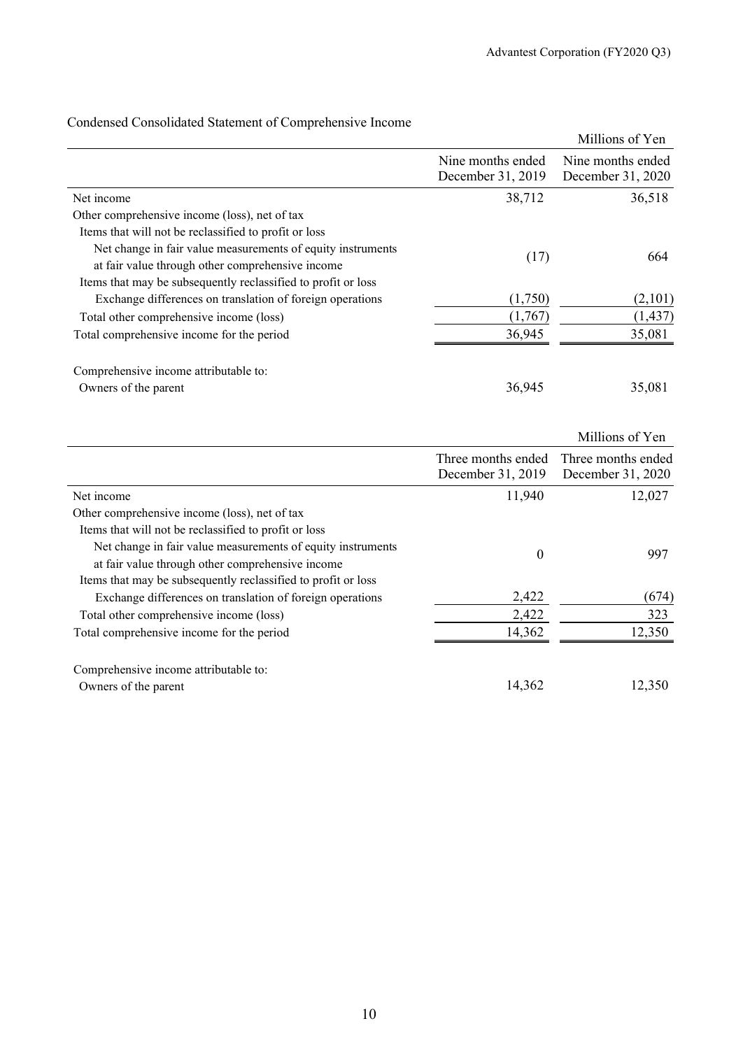|                                                                                                                 |                                        | Millions of Yen                        |
|-----------------------------------------------------------------------------------------------------------------|----------------------------------------|----------------------------------------|
|                                                                                                                 | Nine months ended<br>December 31, 2019 | Nine months ended<br>December 31, 2020 |
| Net income                                                                                                      | 38,712                                 | 36,518                                 |
| Other comprehensive income (loss), net of tax                                                                   |                                        |                                        |
| Items that will not be reclassified to profit or loss                                                           |                                        |                                        |
| Net change in fair value measurements of equity instruments<br>at fair value through other comprehensive income | (17)                                   | 664                                    |
| Items that may be subsequently reclassified to profit or loss                                                   |                                        |                                        |
| Exchange differences on translation of foreign operations                                                       | (1,750)                                | (2,101)                                |
| Total other comprehensive income (loss)                                                                         | (1,767)                                | (1, 437)                               |
| Total comprehensive income for the period                                                                       | 36,945                                 | 35,081                                 |
| Comprehensive income attributable to:                                                                           |                                        |                                        |
| Owners of the parent                                                                                            | 36,945                                 | 35,081                                 |
|                                                                                                                 |                                        |                                        |

## Condensed Consolidated Statement of Comprehensive Income

|                                                               |                   | Millions of Yen                       |
|---------------------------------------------------------------|-------------------|---------------------------------------|
|                                                               |                   | Three months ended Three months ended |
|                                                               | December 31, 2019 | December 31, 2020                     |
| Net income                                                    | 11,940            | 12,027                                |
| Other comprehensive income (loss), net of tax                 |                   |                                       |
| Items that will not be reclassified to profit or loss         |                   |                                       |
| Net change in fair value measurements of equity instruments   | $\boldsymbol{0}$  | 997                                   |
| at fair value through other comprehensive income              |                   |                                       |
| Items that may be subsequently reclassified to profit or loss |                   |                                       |
| Exchange differences on translation of foreign operations     | 2,422             | (674)                                 |
| Total other comprehensive income (loss)                       | 2,422             | 323                                   |
| Total comprehensive income for the period                     | 14,362            | 12,350                                |
| Comprehensive income attributable to:                         |                   |                                       |
| Owners of the parent                                          | 14,362            | 12,350                                |
|                                                               |                   |                                       |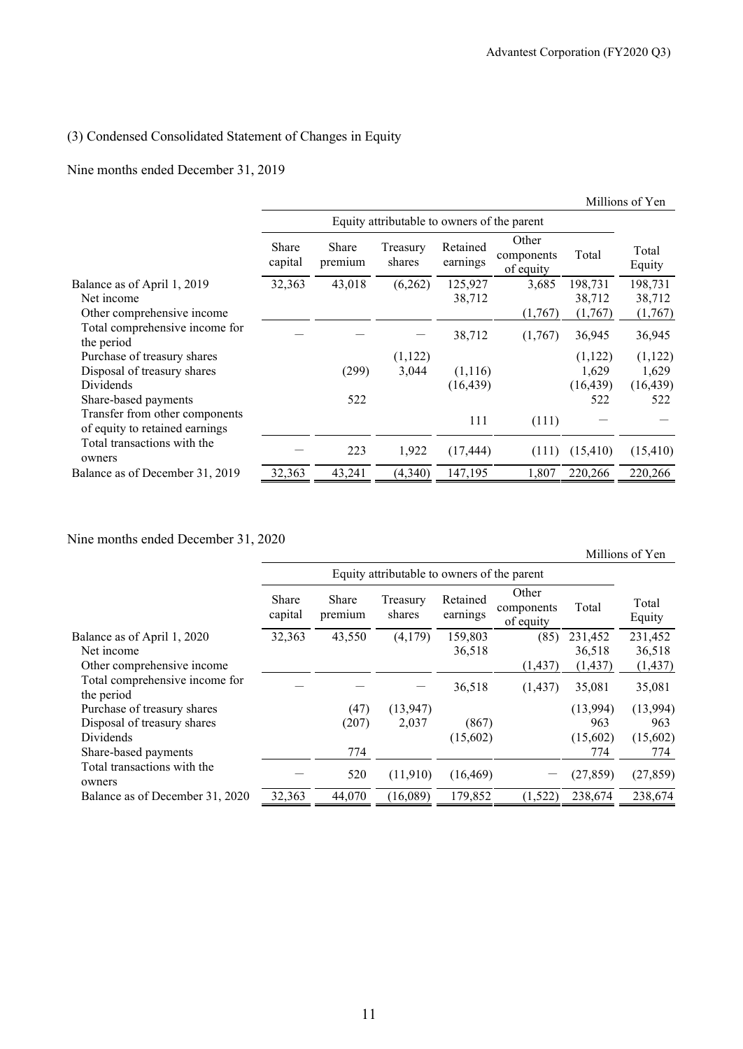#### (3) Condensed Consolidated Statement of Changes in Equity

#### Nine months ended December 31, 2019

|                                                                  |                  |                                             |                    |                      |                                  |           | Millions of Yen |
|------------------------------------------------------------------|------------------|---------------------------------------------|--------------------|----------------------|----------------------------------|-----------|-----------------|
|                                                                  |                  | Equity attributable to owners of the parent |                    |                      |                                  |           |                 |
|                                                                  | Share<br>capital | Share<br>premium                            | Treasury<br>shares | Retained<br>earnings | Other<br>components<br>of equity | Total     | Total<br>Equity |
| Balance as of April 1, 2019                                      | 32,363           | 43,018                                      | (6,262)            | 125,927              | 3,685                            | 198,731   | 198,731         |
| Net income                                                       |                  |                                             |                    | 38,712               |                                  | 38,712    | 38,712          |
| Other comprehensive income                                       |                  |                                             |                    |                      | (1,767)                          | (1,767)   | (1,767)         |
| Total comprehensive income for<br>the period                     |                  |                                             |                    | 38,712               | (1,767)                          | 36,945    | 36,945          |
| Purchase of treasury shares                                      |                  |                                             | (1,122)            |                      |                                  | (1,122)   | (1, 122)        |
| Disposal of treasury shares                                      |                  | (299)                                       | 3,044              | (1,116)              |                                  | 1,629     | 1,629           |
| Dividends                                                        |                  |                                             |                    | (16, 439)            |                                  | (16, 439) | (16, 439)       |
| Share-based payments                                             |                  | 522                                         |                    |                      |                                  | 522       | 522             |
| Transfer from other components<br>of equity to retained earnings |                  |                                             |                    | 111                  | (111)                            |           |                 |
| Total transactions with the<br>owners                            |                  | 223                                         | 1,922              | (17, 444)            | (111)                            | (15, 410) | (15, 410)       |
| Balance as of December 31, 2019                                  | 32,363           | 43,241                                      | (4,340)            | 147,195              | 1,807                            | 220,266   | 220,266         |

#### Nine months ended December 31, 2020

Equity attributable to owners of the parent Total Equity Share capital Share premium Treasury shares Retained earnings Other components of equity Total Balance as of April 1, 2020  $\overline{)32,363 \overline{)43,550 \overline{}} \overline{)43,550 \overline{}} \overline{)4,179} \overline{)159,803 \overline{36,518 \overline{)}} \overline{)231,452 \overline{}} \overline{231,452 \overline{}} \overline{231,452 \overline{36,518 \overline{)}} \overline{36,518 \overline{)}} \overline{36,518 \overline{)}}$ Net income 36,518 36,518 36,518 36,518 36,518 Other comprehensive income (1,437) (1,437) (1,437) (1,437) Total comprehensive income for the period  $36,518$   $(1,437)$   $35,081$   $35,081$ Purchase of treasury shares (47) (13,947) (13,994) (13,994) (13,994) Disposal of treasury shares (207) 2,037 (867) 963 963 Dividends (15,602) (15,602) (15,602) Share-based payments **774** 774 774 774 774 774 774 775 Total transactions with the  $\frac{1}{100}$  comers owners  $-$  520 (11,910) (16,469)  $-$  (27,859) (27,859) Balance as of December 31, 2020 32,363 44,070 (16,089) 179,852 (1,522) 238,674 238,674

Millions of Yen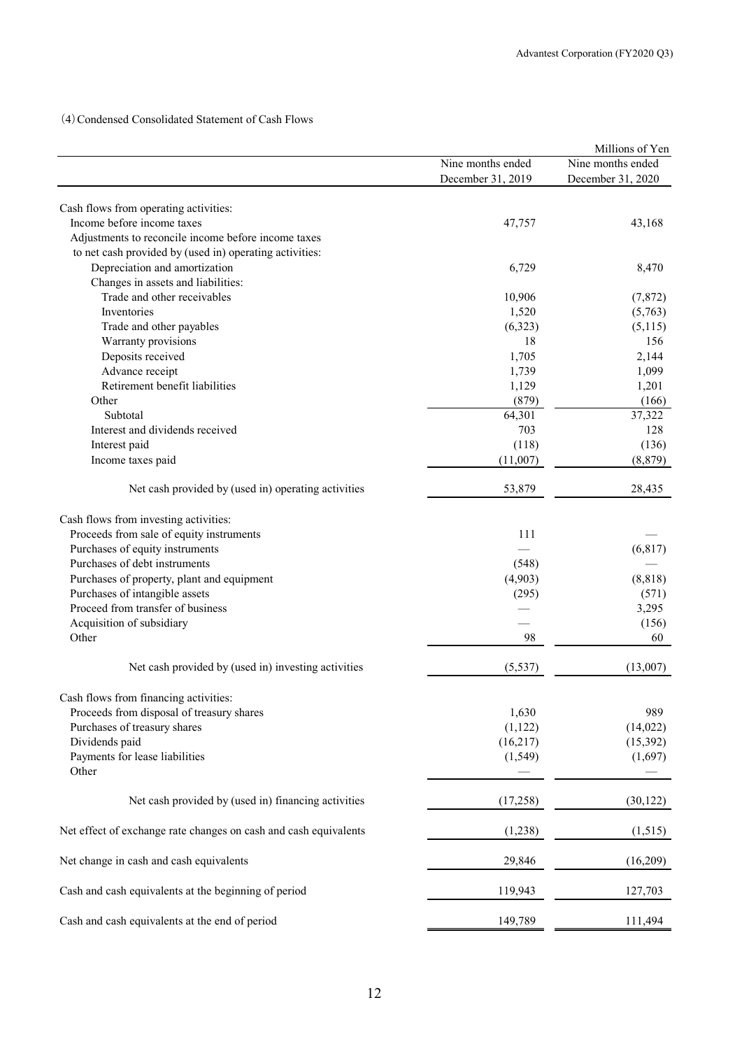(4)Condensed Consolidated Statement of Cash Flows

|                                                                  |                   | Millions of Yen   |
|------------------------------------------------------------------|-------------------|-------------------|
|                                                                  | Nine months ended | Nine months ended |
|                                                                  | December 31, 2019 | December 31, 2020 |
| Cash flows from operating activities:                            |                   |                   |
| Income before income taxes                                       | 47,757            | 43,168            |
| Adjustments to reconcile income before income taxes              |                   |                   |
| to net cash provided by (used in) operating activities:          |                   |                   |
| Depreciation and amortization                                    | 6,729             | 8,470             |
| Changes in assets and liabilities:                               |                   |                   |
| Trade and other receivables                                      | 10,906            | (7, 872)          |
|                                                                  |                   |                   |
| Inventories                                                      | 1,520             | (5,763)           |
| Trade and other payables                                         | (6,323)           | (5,115)           |
| Warranty provisions                                              | 18                | 156               |
| Deposits received                                                | 1,705             | 2,144             |
| Advance receipt                                                  | 1,739             | 1,099             |
| Retirement benefit liabilities                                   | 1,129             | 1,201             |
| Other                                                            | (879)             | (166)             |
| Subtotal                                                         | 64,301            | 37,322            |
| Interest and dividends received                                  | 703               | 128               |
| Interest paid                                                    | (118)             | (136)             |
| Income taxes paid                                                | (11,007)          | (8, 879)          |
| Net cash provided by (used in) operating activities              | 53,879            | 28,435            |
| Cash flows from investing activities:                            |                   |                   |
| Proceeds from sale of equity instruments                         | 111               |                   |
| Purchases of equity instruments                                  |                   | (6, 817)          |
| Purchases of debt instruments                                    | (548)             |                   |
| Purchases of property, plant and equipment                       | (4,903)           | (8, 818)          |
| Purchases of intangible assets                                   | (295)             | (571)             |
| Proceed from transfer of business                                |                   | 3,295             |
| Acquisition of subsidiary                                        |                   | (156)             |
| Other                                                            | 98                | 60                |
|                                                                  |                   |                   |
| Net cash provided by (used in) investing activities              | (5, 537)          | (13,007)          |
| Cash flows from financing activities:                            |                   |                   |
| Proceeds from disposal of treasury shares                        | 1,630             | 989               |
| Purchases of treasury shares                                     | (1, 122)          | (14, 022)         |
| Dividends paid                                                   | (16,217)          | (15, 392)         |
| Payments for lease liabilities                                   | (1, 549)          | (1,697)           |
| Other                                                            |                   |                   |
| Net cash provided by (used in) financing activities              | (17,258)          | (30, 122)         |
| Net effect of exchange rate changes on cash and cash equivalents | (1,238)           | (1,515)           |
| Net change in cash and cash equivalents                          | 29,846            | (16,209)          |
| Cash and cash equivalents at the beginning of period             | 119,943           | 127,703           |
| Cash and cash equivalents at the end of period                   | 149,789           | 111,494           |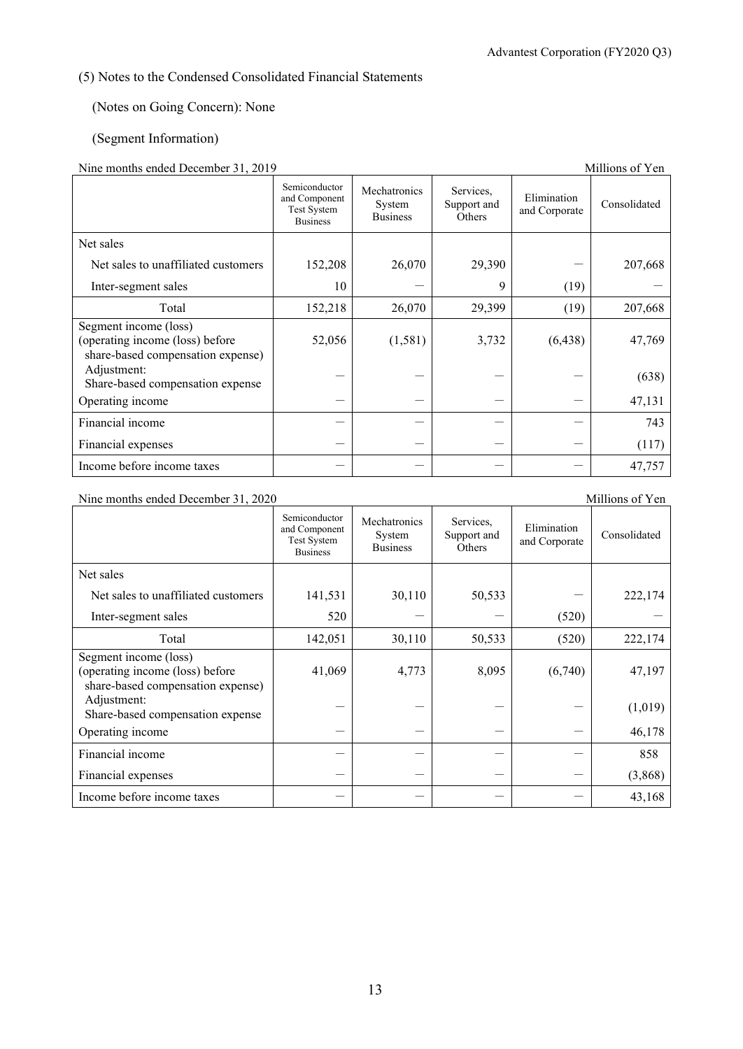## (5) Notes to the Condensed Consolidated Financial Statements

### (Notes on Going Concern): None

### (Segment Information)

## Nine months ended December 31, 2019

| Thing inditions ended December $31, 2015$<br>ишнону от теп                                    |                                                                  |                                           |                                    |                              |              |  |
|-----------------------------------------------------------------------------------------------|------------------------------------------------------------------|-------------------------------------------|------------------------------------|------------------------------|--------------|--|
|                                                                                               | Semiconductor<br>and Component<br>Test System<br><b>Business</b> | Mechatronics<br>System<br><b>Business</b> | Services,<br>Support and<br>Others | Elimination<br>and Corporate | Consolidated |  |
| Net sales                                                                                     |                                                                  |                                           |                                    |                              |              |  |
| Net sales to unaffiliated customers                                                           | 152,208                                                          | 26,070                                    | 29,390                             |                              | 207,668      |  |
| Inter-segment sales                                                                           | 10                                                               |                                           | 9                                  | (19)                         |              |  |
| Total                                                                                         | 152,218                                                          | 26,070                                    | 29,399                             | (19)                         | 207,668      |  |
| Segment income (loss)<br>(operating income (loss) before<br>share-based compensation expense) | 52,056                                                           | (1, 581)                                  | 3,732                              | (6, 438)                     | 47,769       |  |
| Adjustment:<br>Share-based compensation expense                                               |                                                                  |                                           |                                    |                              | (638)        |  |
| Operating income                                                                              |                                                                  |                                           |                                    |                              | 47,131       |  |
| Financial income                                                                              |                                                                  |                                           |                                    |                              | 743          |  |
| Financial expenses                                                                            |                                                                  |                                           |                                    |                              | (117)        |  |
| Income before income taxes                                                                    |                                                                  |                                           |                                    |                              | 47,757       |  |

Nine months ended December 31, 2020 Millions of Yen

|                                                                                               | Semiconductor<br>and Component<br><b>Test System</b><br><b>Business</b> | Mechatronics<br>System<br><b>Business</b> | Services,<br>Support and<br>Others | Elimination<br>and Corporate | Consolidated |
|-----------------------------------------------------------------------------------------------|-------------------------------------------------------------------------|-------------------------------------------|------------------------------------|------------------------------|--------------|
| Net sales                                                                                     |                                                                         |                                           |                                    |                              |              |
| Net sales to unaffiliated customers                                                           | 141,531                                                                 | 30,110                                    | 50,533                             |                              | 222,174      |
| Inter-segment sales                                                                           | 520                                                                     |                                           |                                    | (520)                        |              |
| Total                                                                                         | 142,051                                                                 | 30,110                                    | 50,533                             | (520)                        | 222,174      |
| Segment income (loss)<br>(operating income (loss) before<br>share-based compensation expense) | 41,069                                                                  | 4,773                                     | 8,095                              | (6,740)                      | 47,197       |
| Adjustment:<br>Share-based compensation expense                                               |                                                                         |                                           |                                    |                              | (1,019)      |
| Operating income                                                                              |                                                                         |                                           |                                    |                              | 46,178       |
| Financial income                                                                              |                                                                         |                                           |                                    |                              | 858          |
| Financial expenses                                                                            |                                                                         |                                           |                                    |                              | (3,868)      |
| Income before income taxes                                                                    |                                                                         |                                           |                                    |                              | 43,168       |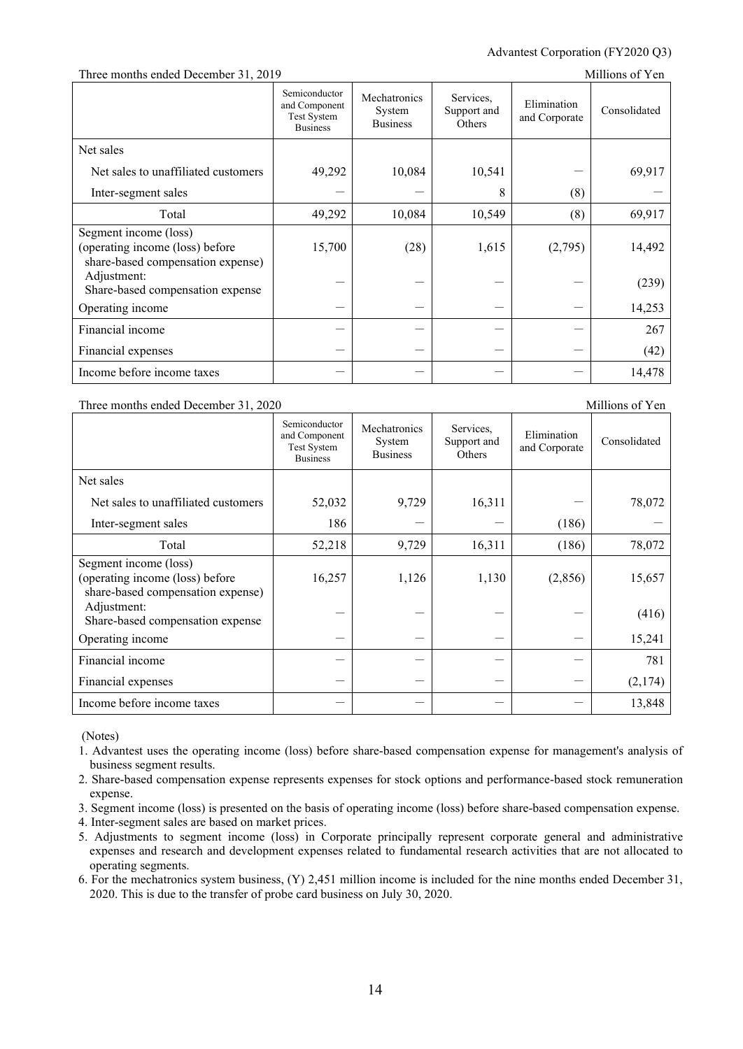#### Advantest Corporation (FY2020 Q3)

#### Three months ended December 31, 2019 Millions of Yen

|                                                                                               | Semiconductor<br>and Component<br>Test System<br><b>Business</b> | Mechatronics<br>System<br><b>Business</b> | Services,<br>Support and<br>Others | Elimination<br>and Corporate | Consolidated |
|-----------------------------------------------------------------------------------------------|------------------------------------------------------------------|-------------------------------------------|------------------------------------|------------------------------|--------------|
| Net sales                                                                                     |                                                                  |                                           |                                    |                              |              |
| Net sales to unaffiliated customers                                                           | 49,292                                                           | 10,084                                    | 10,541                             |                              | 69,917       |
| Inter-segment sales                                                                           |                                                                  |                                           | 8                                  | (8)                          |              |
| Total                                                                                         | 49,292                                                           | 10,084                                    | 10,549                             | (8)                          | 69,917       |
| Segment income (loss)<br>(operating income (loss) before<br>share-based compensation expense) | 15,700                                                           | (28)                                      | 1,615                              | (2,795)                      | 14,492       |
| Adjustment:<br>Share-based compensation expense                                               |                                                                  |                                           |                                    |                              | (239)        |
| Operating income                                                                              |                                                                  |                                           |                                    |                              | 14,253       |
| Financial income                                                                              |                                                                  |                                           |                                    |                              | 267          |
| Financial expenses                                                                            |                                                                  |                                           |                                    |                              | (42)         |
| Income before income taxes                                                                    |                                                                  |                                           |                                    |                              | 14,478       |

#### Three months ended December 31, 2020 Millions of Yen

Semiconductor and Component Test System Business Mechatronics System Business Services, Support and **Others** Elimination Elimination<br>and Corporate Consolidated Net sales Net sales to unaffiliated customers  $\begin{vmatrix} 52,032 & 9,729 & 16,311 & -1 \end{vmatrix}$  78,072 Inter-segment sales  $186$   $(186)$ Total  $52,218$  9,729 16,311 (186) 78,072 Segment income (loss) (operating income (loss) before share-based compensation expense) 16,257 1,126 1,130 (2,856) 15,657 Adjustment:  $S<sub>h</sub>$  and  $S<sub>h</sub>$  are based compensation expense  $(416)$ Operating income  $-$  15,241 Financial income - - - - 781 Financial expenses  $(2.174)$ Income before income taxes  $-$  13,848

(Notes)

- 1. Advantest uses the operating income (loss) before share-based compensation expense for management's analysis of business segment results.
- 2. Share-based compensation expense represents expenses for stock options and performance-based stock remuneration expense.
- 3. Segment income (loss) is presented on the basis of operating income (loss) before share-based compensation expense.
- 4. Inter-segment sales are based on market prices.
- 5. Adjustments to segment income (loss) in Corporate principally represent corporate general and administrative expenses and research and development expenses related to fundamental research activities that are not allocated to operating segments.
- 6. For the mechatronics system business, (Y) 2,451 million income is included for the nine months ended December 31, 2020. This is due to the transfer of probe card business on July 30, 2020.